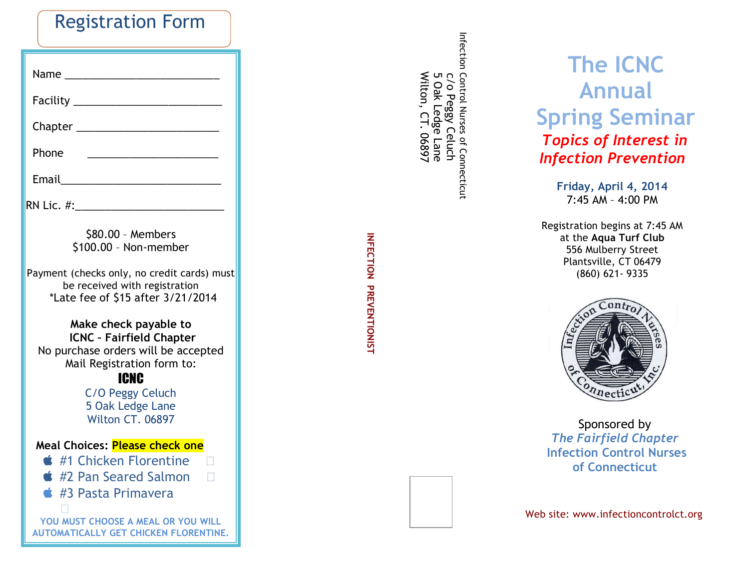| <b>Registration Form</b> |  |  |
|--------------------------|--|--|
|--------------------------|--|--|

| Phone                                                                                                                                                                                             |  |  |
|---------------------------------------------------------------------------------------------------------------------------------------------------------------------------------------------------|--|--|
|                                                                                                                                                                                                   |  |  |
|                                                                                                                                                                                                   |  |  |
| \$80.00 - Members<br>\$100.00 - Non-member                                                                                                                                                        |  |  |
| Payment (checks only, no credit cards) must<br>be received with registration<br>*Late fee of \$15 after 3/21/2014                                                                                 |  |  |
| Make check payable to<br><b>ICNC - Fairfield Chapter</b><br>No purchase orders will be accepted<br>Mail Registration form to:<br>ICNC<br>C/O Peggy Celuch<br>5 Oak Ledge Lane<br>Wilton CT. 06897 |  |  |
| Meal Choices: <mark>Please check one</mark>                                                                                                                                                       |  |  |
| <b>■ #1 Chicken Florentine</b><br><b><i>I</i></b> #2 Pan Seared Salmon □                                                                                                                          |  |  |
| $\bullet$ #3 Pasta Primavera                                                                                                                                                                      |  |  |
| YOU MUST CHOOSE A MEAL OR YOU WILL<br><b>AUTOMATICALLY GET CHICKEN FLORENTINE.</b>                                                                                                                |  |  |

INFECTION PREVENTIONIST **INFECTION PREVENTIONIST**

Infection Control Nurses of Connecticut<br>C/O Peggy Celuch<br>5 Oak Ledge Lane<br>Wilton, CT. 06897 Infection Control Nurses of Connecticut Wilton, CT. 06897 5 Oak Ledge Lane c/o Peggy Celuch

# **The ICNC Annual Spring Seminar** *Topics of Interest in Infection Prevention*

**Friday, April 4, 2014** 7:45 AM – 4:00 PM

Registration begins at 7:45 AM at the **Aqua Turf Club** 556 Mulberry Street Plantsville, CT 06479 (860) 621 - 9335



Sponsored by *The Fairfield Chapter* **Infection Control Nurses of Connecticut**

Web site: www.infectioncontrolct.org